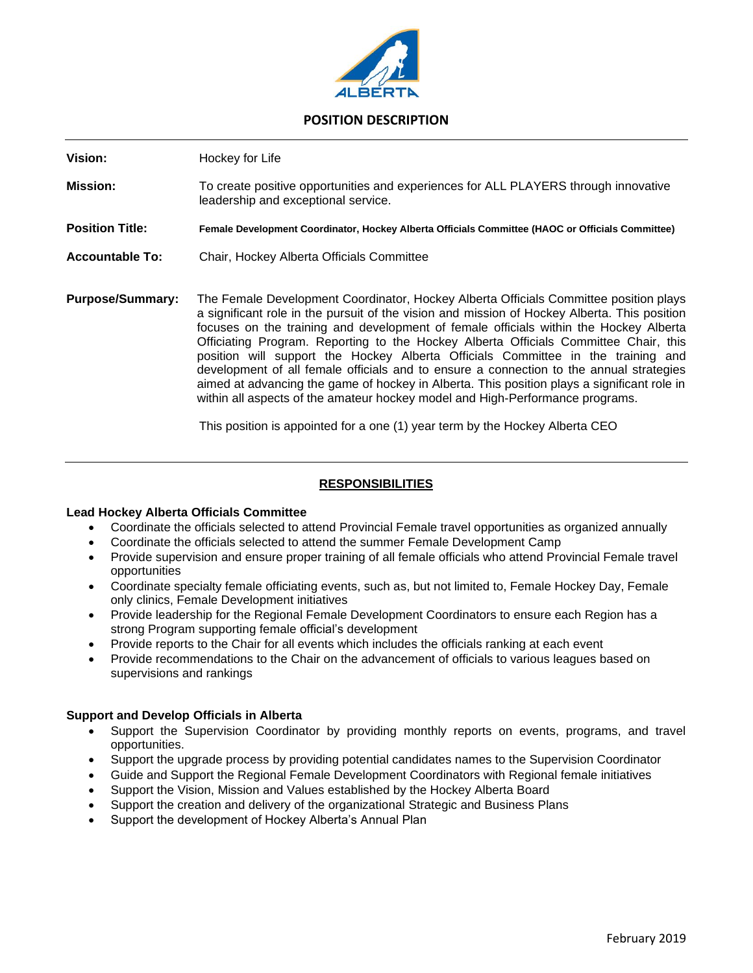

# **POSITION DESCRIPTION**

**Vision:** Hockey for Life

- **Mission:** To create positive opportunities and experiences for ALL PLAYERS through innovative leadership and exceptional service.
- **Position Title: Female Development Coordinator, Hockey Alberta Officials Committee (HAOC or Officials Committee)**
- **Accountable To:** Chair, Hockey Alberta Officials Committee
- **Purpose/Summary:** The Female Development Coordinator, Hockey Alberta Officials Committee position plays a significant role in the pursuit of the vision and mission of Hockey Alberta. This position focuses on the training and development of female officials within the Hockey Alberta Officiating Program. Reporting to the Hockey Alberta Officials Committee Chair, this position will support the Hockey Alberta Officials Committee in the training and development of all female officials and to ensure a connection to the annual strategies aimed at advancing the game of hockey in Alberta. This position plays a significant role in within all aspects of the amateur hockey model and High-Performance programs.

This position is appointed for a one (1) year term by the Hockey Alberta CEO

### **RESPONSIBILITIES**

#### **Lead Hockey Alberta Officials Committee**

- Coordinate the officials selected to attend Provincial Female travel opportunities as organized annually
- Coordinate the officials selected to attend the summer Female Development Camp
- Provide supervision and ensure proper training of all female officials who attend Provincial Female travel opportunities
- Coordinate specialty female officiating events, such as, but not limited to, Female Hockey Day, Female only clinics, Female Development initiatives
- Provide leadership for the Regional Female Development Coordinators to ensure each Region has a strong Program supporting female official's development
- Provide reports to the Chair for all events which includes the officials ranking at each event
- Provide recommendations to the Chair on the advancement of officials to various leagues based on supervisions and rankings

#### **Support and Develop Officials in Alberta**

- Support the Supervision Coordinator by providing monthly reports on events, programs, and travel opportunities.
- Support the upgrade process by providing potential candidates names to the Supervision Coordinator
- Guide and Support the Regional Female Development Coordinators with Regional female initiatives
- Support the Vision, Mission and Values established by the Hockey Alberta Board
- Support the creation and delivery of the organizational Strategic and Business Plans
- Support the development of Hockey Alberta's Annual Plan